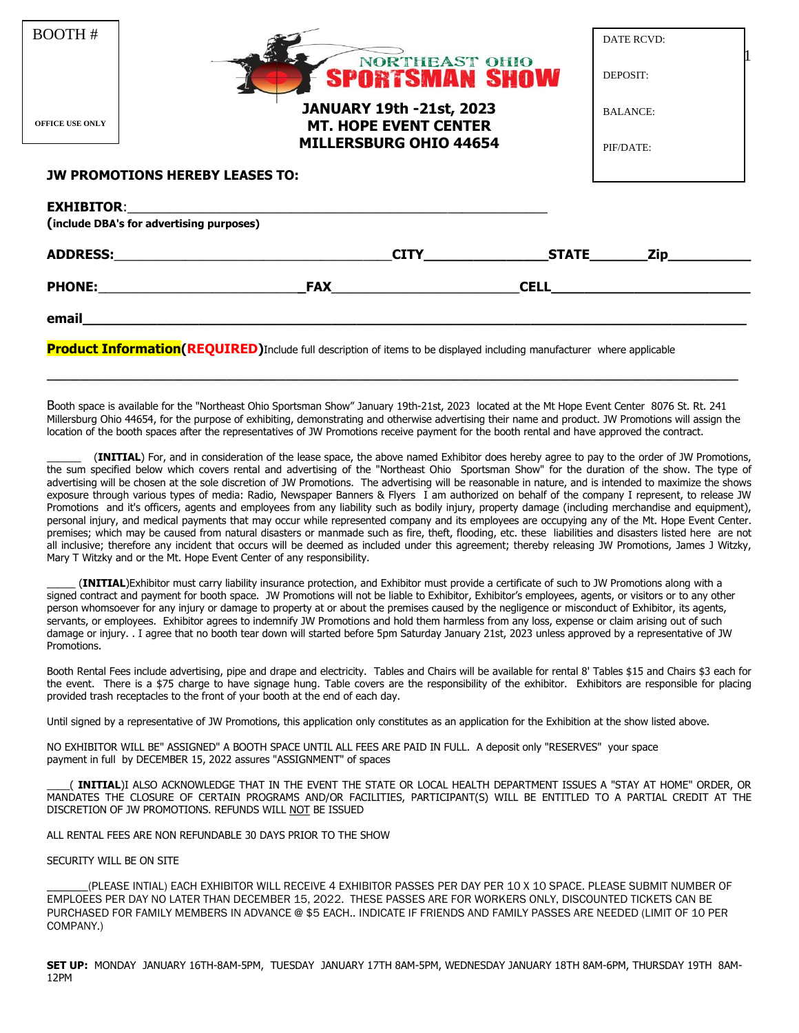| <b>PHONE:</b>                          | <b>FAX</b><br><b>CELL</b>                |                 |  |  |  |
|----------------------------------------|------------------------------------------|-----------------|--|--|--|
| <b>ADDRESS:</b>                        | <b>STATE</b><br><b>CITY</b>              | Zip             |  |  |  |
|                                        | (include DBA's for advertising purposes) |                 |  |  |  |
| <b>EXHIBITOR:</b>                      |                                          |                 |  |  |  |
| <b>JW PROMOTIONS HEREBY LEASES TO:</b> |                                          |                 |  |  |  |
|                                        | <b>MILLERSBURG OHIO 44654</b>            | PIF/DATE:       |  |  |  |
| <b>OFFICE USE ONLY</b>                 | <b>MT. HOPE EVENT CENTER</b>             | <b>BALANCE:</b> |  |  |  |
|                                        | <b>JANUARY 19th -21st, 2023</b>          |                 |  |  |  |
|                                        | NORTHEAST OHIO<br><b>SPORTSMAN SHOW</b>  | DEPOSIT:        |  |  |  |
| <b>BOOTH#</b>                          |                                          | DATE RCVD:      |  |  |  |
|                                        |                                          |                 |  |  |  |

**email\_\_\_\_\_\_\_\_\_\_\_\_\_\_\_\_\_\_\_\_\_\_\_\_\_\_\_\_\_\_\_\_\_\_\_\_\_\_\_\_\_\_\_\_\_\_\_\_\_\_\_\_\_\_\_\_\_\_\_\_\_\_\_\_\_\_\_\_\_\_\_\_\_\_\_\_\_\_\_\_**

**Product Information(REQUIRED)**Include full description of items to be displayed including manufacturer where applicable

Booth space is available for the "Northeast Ohio Sportsman Show" January 19th-21st, 2023 located at the Mt Hope Event Center 8076 St. Rt. 241 Millersburg Ohio 44654, for the purpose of exhibiting, demonstrating and otherwise advertising their name and product. JW Promotions will assign the location of the booth spaces after the representatives of JW Promotions receive payment for the booth rental and have approved the contract.

(INITIAL) For, and in consideration of the lease space, the above named Exhibitor does hereby agree to pay to the order of JW Promotions, the sum specified below which covers rental and advertising of the "Northeast Ohio Sportsman Show" for the duration of the show. The type of advertising will be chosen at the sole discretion of JW Promotions. The advertising will be reasonable in nature, and is intended to maximize the shows exposure through various types of media: Radio, Newspaper Banners & Flyers I am authorized on behalf of the company I represent, to release JW Promotions and it's officers, agents and employees from any liability such as bodily injury, property damage (including merchandise and equipment), personal injury, and medical payments that may occur while represented company and its employees are occupying any of the Mt. Hope Event Center. premises; which may be caused from natural disasters or manmade such as fire, theft, flooding, etc. these liabilities and disasters listed here are not all inclusive; therefore any incident that occurs will be deemed as included under this agreement; thereby releasing JW Promotions, James J Witzky, Mary T Witzky and or the Mt. Hope Event Center of any responsibility.

(INITIAL)Exhibitor must carry liability insurance protection, and Exhibitor must provide a certificate of such to JW Promotions along with a signed contract and payment for booth space. JW Promotions will not be liable to Exhibitor, Exhibitor's employees, agents, or visitors or to any other person whomsoever for any injury or damage to property at or about the premises caused by the negligence or misconduct of Exhibitor, its agents, servants, or employees. Exhibitor agrees to indemnify JW Promotions and hold them harmless from any loss, expense or claim arising out of such damage or injury. . I agree that no booth tear down will started before 5pm Saturday January 21st, 2023 unless approved by a representative of JW **Promotions** 

Booth Rental Fees include advertising, pipe and drape and electricity. Tables and Chairs will be available for rental 8' Tables \$15 and Chairs \$3 each for the event. There is a \$75 charge to have signage hung. Table covers are the responsibility of the exhibitor. Exhibitors are responsible for placing provided trash receptacles to the front of your booth at the end of each day.

Until signed by a representative of JW Promotions, this application only constitutes as an application for the Exhibition at the show listed above.

NO EXHIBITOR WILL BE" ASSIGNED" A BOOTH SPACE UNTIL ALL FEES ARE PAID IN FULL. A deposit only "RESERVES" your space payment in full by DECEMBER 15, 2022 assures "ASSIGNMENT" of spaces

\_\_\_\_( **INITIAL**)I ALSO ACKNOWLEDGE THAT IN THE EVENT THE STATE OR LOCAL HEALTH DEPARTMENT ISSUES A "STAY AT HOME" ORDER, OR MANDATES THE CLOSURE OF CERTAIN PROGRAMS AND/OR FACILITIES, PARTICIPANT(S) WILL BE ENTITLED TO A PARTIAL CREDIT AT THE DISCRETION OF JW PROMOTIONS. REFUNDS WILL NOT BE ISSUED

ALL RENTAL FEES ARE NON REFUNDABLE 30 DAYS PRIOR TO THE SHOW

## SECURITY WILL BE ON SITE

(PLEASE INTIAL) EACH EXHIBITOR WILL RECEIVE 4 EXHIBITOR PASSES PER DAY PER 10 X 10 SPACE. PLEASE SUBMIT NUMBER OF EMPLOEES PER DAY NO LATER THAN DECEMBER 15, 2022. THESE PASSES ARE FOR WORKERS ONLY, DISCOUNTED TICKETS CAN BE PURCHASED FOR FAMILY MEMBERS IN ADVANCE @ \$5 EACH.. INDICATE IF FRIENDS AND FAMILY PASSES ARE NEEDED (LIMIT OF 10 PER COMPANY.)

**SET UP:** MONDAY JANUARY 16TH-8AM-5PM, TUESDAY JANUARY 17TH 8AM-5PM, WEDNESDAY JANUARY 18TH 8AM-6PM, THURSDAY 19TH 8AM-12PM